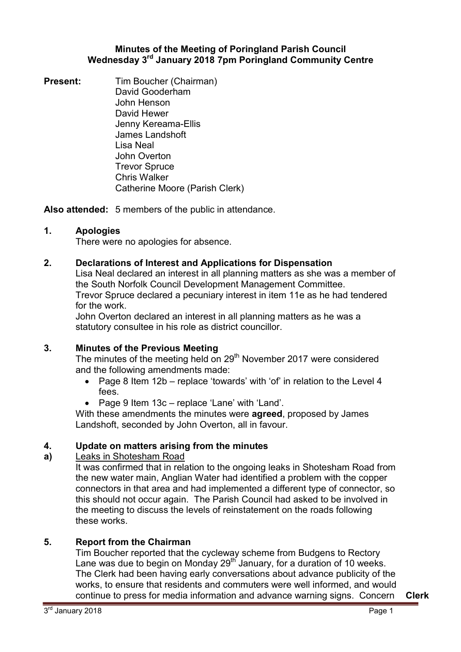### **Minutes of the Meeting of Poringland Parish Council Wednesday 3rd January 2018 7pm Poringland Community Centre**

**Present:** Tim Boucher (Chairman) David Gooderham John Henson David Hewer Jenny Kereama-Ellis James Landshoft Lisa Neal John Overton Trevor Spruce Chris Walker Catherine Moore (Parish Clerk)

**Also attended:** 5 members of the public in attendance.

# **1. Apologies**

There were no apologies for absence.

# **2. Declarations of Interest and Applications for Dispensation**

Lisa Neal declared an interest in all planning matters as she was a member of the South Norfolk Council Development Management Committee. Trevor Spruce declared a pecuniary interest in item 11e as he had tendered for the work.

John Overton declared an interest in all planning matters as he was a statutory consultee in his role as district councillor.

# **3. Minutes of the Previous Meeting**

The minutes of the meeting held on  $29<sup>th</sup>$  November 2017 were considered and the following amendments made:

- Page 8 Item 12b replace 'towards' with 'of' in relation to the Level 4 fees.
- Page 9 Item 13c replace 'Lane' with 'Land'.

With these amendments the minutes were **agreed**, proposed by James Landshoft, seconded by John Overton, all in favour.

#### **4. Update on matters arising from the minutes**

#### **a)**  Leaks in Shotesham Road

It was confirmed that in relation to the ongoing leaks in Shotesham Road from the new water main, Anglian Water had identified a problem with the copper connectors in that area and had implemented a different type of connector, so this should not occur again. The Parish Council had asked to be involved in the meeting to discuss the levels of reinstatement on the roads following these works.

# **5. Report from the Chairman**

Tim Boucher reported that the cycleway scheme from Budgens to Rectory Lane was due to begin on Monday 29<sup>th</sup> January, for a duration of 10 weeks. The Clerk had been having early conversations about advance publicity of the works, to ensure that residents and commuters were well informed, and would continue to press for media information and advance warning signs. Concern **Clerk**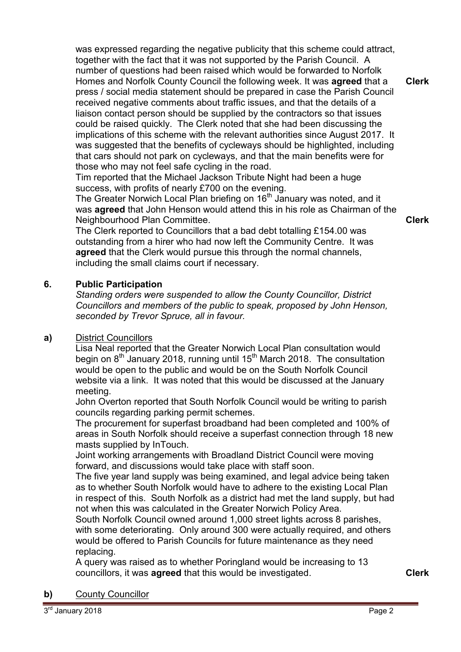was expressed regarding the negative publicity that this scheme could attract, together with the fact that it was not supported by the Parish Council. A number of questions had been raised which would be forwarded to Norfolk Homes and Norfolk County Council the following week. It was **agreed** that a press / social media statement should be prepared in case the Parish Council received negative comments about traffic issues, and that the details of a liaison contact person should be supplied by the contractors so that issues could be raised quickly. The Clerk noted that she had been discussing the implications of this scheme with the relevant authorities since August 2017. It was suggested that the benefits of cycleways should be highlighted, including that cars should not park on cycleways, and that the main benefits were for those who may not feel safe cycling in the road. **Clerk**

Tim reported that the Michael Jackson Tribute Night had been a huge success, with profits of nearly £700 on the evening.

The Greater Norwich Local Plan briefing on  $16<sup>th</sup>$  January was noted, and it was **agreed** that John Henson would attend this in his role as Chairman of the Neighbourhood Plan Committee.

**Clerk**

The Clerk reported to Councillors that a bad debt totalling £154.00 was outstanding from a hirer who had now left the Community Centre. It was **agreed** that the Clerk would pursue this through the normal channels, including the small claims court if necessary.

# **6. Public Participation**

*Standing orders were suspended to allow the County Councillor, District Councillors and members of the public to speak, proposed by John Henson, seconded by Trevor Spruce, all in favour.* 

# **a)** District Councillors

Lisa Neal reported that the Greater Norwich Local Plan consultation would begin on  $8<sup>th</sup>$  January 2018, running until 15<sup>th</sup> March 2018. The consultation would be open to the public and would be on the South Norfolk Council website via a link. It was noted that this would be discussed at the January meeting.

John Overton reported that South Norfolk Council would be writing to parish councils regarding parking permit schemes.

The procurement for superfast broadband had been completed and 100% of areas in South Norfolk should receive a superfast connection through 18 new masts supplied by InTouch.

Joint working arrangements with Broadland District Council were moving forward, and discussions would take place with staff soon.

The five year land supply was being examined, and legal advice being taken as to whether South Norfolk would have to adhere to the existing Local Plan in respect of this. South Norfolk as a district had met the land supply, but had not when this was calculated in the Greater Norwich Policy Area.

South Norfolk Council owned around 1,000 street lights across 8 parishes, with some deteriorating. Only around 300 were actually required, and others would be offered to Parish Councils for future maintenance as they need replacing.

A query was raised as to whether Poringland would be increasing to 13 councillors, it was **agreed** that this would be investigated. **Clerk**

**b)** County Councillor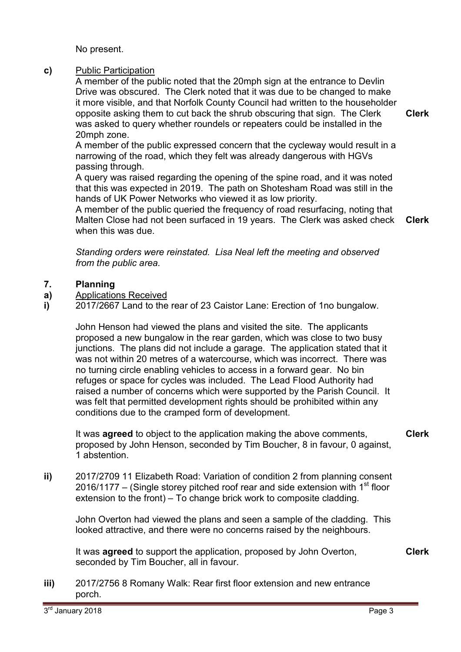No present.

### **c)** Public Participation

A member of the public noted that the 20mph sign at the entrance to Devlin Drive was obscured. The Clerk noted that it was due to be changed to make it more visible, and that Norfolk County Council had written to the householder opposite asking them to cut back the shrub obscuring that sign. The Clerk was asked to query whether roundels or repeaters could be installed in the 20mph zone.

A member of the public expressed concern that the cycleway would result in a narrowing of the road, which they felt was already dangerous with HGVs passing through.

A query was raised regarding the opening of the spine road, and it was noted that this was expected in 2019. The path on Shotesham Road was still in the hands of UK Power Networks who viewed it as low priority.

A member of the public queried the frequency of road resurfacing, noting that Malten Close had not been surfaced in 19 years. The Clerk was asked check when this was due. **Clerk**

*Standing orders were reinstated. Lisa Neal left the meeting and observed from the public area.* 

#### **7. Planning**

- **a)**  Applications Received
- **i)**  2017/2667 Land to the rear of 23 Caistor Lane: Erection of 1no bungalow.

John Henson had viewed the plans and visited the site. The applicants proposed a new bungalow in the rear garden, which was close to two busy junctions. The plans did not include a garage. The application stated that it was not within 20 metres of a watercourse, which was incorrect. There was no turning circle enabling vehicles to access in a forward gear. No bin refuges or space for cycles was included. The Lead Flood Authority had raised a number of concerns which were supported by the Parish Council. It was felt that permitted development rights should be prohibited within any conditions due to the cramped form of development.

It was **agreed** to object to the application making the above comments, proposed by John Henson, seconded by Tim Boucher, 8 in favour, 0 against, 1 abstention.

**ii)** 2017/2709 11 Elizabeth Road: Variation of condition 2 from planning consent 2016/1177 – (Single storey pitched roof rear and side extension with 1<sup>st</sup> floor extension to the front) – To change brick work to composite cladding.

John Overton had viewed the plans and seen a sample of the cladding. This looked attractive, and there were no concerns raised by the neighbours.

It was **agreed** to support the application, proposed by John Overton, seconded by Tim Boucher, all in favour.

**iii)** 2017/2756 8 Romany Walk: Rear first floor extension and new entrance porch.

**Clerk**

**Clerk**

**Clerk**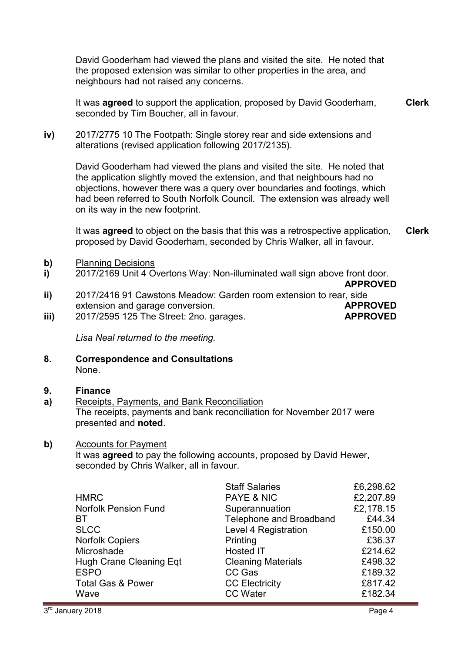David Gooderham had viewed the plans and visited the site. He noted that the proposed extension was similar to other properties in the area, and neighbours had not raised any concerns.

It was **agreed** to support the application, proposed by David Gooderham, seconded by Tim Boucher, all in favour. **Clerk**

**iv)** 2017/2775 10 The Footpath: Single storey rear and side extensions and alterations (revised application following 2017/2135).

David Gooderham had viewed the plans and visited the site. He noted that the application slightly moved the extension, and that neighbours had no objections, however there was a query over boundaries and footings, which had been referred to South Norfolk Council. The extension was already well on its way in the new footprint.

It was **agreed** to object on the basis that this was a retrospective application, proposed by David Gooderham, seconded by Chris Walker, all in favour. **Clerk**

- **b)** Planning Decisions
- **i)**  2017/2169 Unit 4 Overtons Way: Non-illuminated wall sign above front door.
- **ii) APPROVED** 2017/2416 91 Cawstons Meadow: Garden room extension to rear, side extension and garage conversion. **APPROVED** 2017/2595 125 The Street: 2no. garages. **APPROVED**
- **iii)**

*Lisa Neal returned to the meeting.* 

**8. Correspondence and Consultations** None.

#### **9. Finance**

**a)**  Receipts, Payments, and Bank Reconciliation The receipts, payments and bank reconciliation for November 2017 were presented and **noted**.

### **b)** Accounts for Payment

It was **agreed** to pay the following accounts, proposed by David Hewer, seconded by Chris Walker, all in favour.

|                                | <b>Staff Salaries</b>     | £6,298.62 |
|--------------------------------|---------------------------|-----------|
| <b>HMRC</b>                    | <b>PAYE &amp; NIC</b>     | £2,207.89 |
| <b>Norfolk Pension Fund</b>    | Superannuation            | £2,178.15 |
| <b>BT</b>                      | Telephone and Broadband   | £44.34    |
| <b>SLCC</b>                    | Level 4 Registration      | £150.00   |
| <b>Norfolk Copiers</b>         | Printing                  | £36.37    |
| Microshade                     | <b>Hosted IT</b>          | £214.62   |
| <b>Hugh Crane Cleaning Eqt</b> | <b>Cleaning Materials</b> | £498.32   |
| <b>ESPO</b>                    | CC Gas                    | £189.32   |
| <b>Total Gas &amp; Power</b>   | <b>CC Electricity</b>     | £817.42   |
| Wave                           | <b>CC Water</b>           | £182.34   |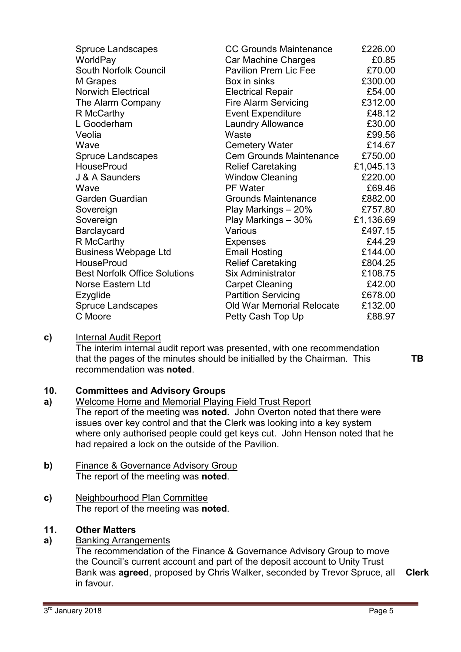| <b>Spruce Landscapes</b>             | <b>CC Grounds Maintenance</b>    | £226.00   |
|--------------------------------------|----------------------------------|-----------|
| WorldPay                             | Car Machine Charges              | £0.85     |
| South Norfolk Council                | <b>Pavilion Prem Lic Fee</b>     | £70.00    |
| M Grapes                             | Box in sinks                     | £300.00   |
| Norwich Electrical                   | <b>Electrical Repair</b>         | £54.00    |
| The Alarm Company                    | <b>Fire Alarm Servicing</b>      | £312.00   |
| R McCarthy                           | <b>Event Expenditure</b>         | £48.12    |
| L Gooderham                          | <b>Laundry Allowance</b>         | £30.00    |
| Veolia                               | Waste                            | £99.56    |
| Wave                                 | <b>Cemetery Water</b>            | £14.67    |
| Spruce Landscapes                    | <b>Cem Grounds Maintenance</b>   | £750.00   |
| <b>HouseProud</b>                    | <b>Relief Caretaking</b>         | £1,045.13 |
| J & A Saunders                       | <b>Window Cleaning</b>           | £220.00   |
| Wave                                 | <b>PF Water</b>                  | £69.46    |
| Garden Guardian                      | <b>Grounds Maintenance</b>       | £882.00   |
| Sovereign                            | Play Markings - 20%              | £757.80   |
| Sovereign                            | Play Markings - 30%              | £1,136.69 |
| Barclaycard                          | Various                          | £497.15   |
| R McCarthy                           | <b>Expenses</b>                  | £44.29    |
| <b>Business Webpage Ltd</b>          | <b>Email Hosting</b>             | £144.00   |
| <b>HouseProud</b>                    | <b>Relief Caretaking</b>         | £804.25   |
| <b>Best Norfolk Office Solutions</b> | <b>Six Administrator</b>         | £108.75   |
| Norse Eastern Ltd                    | <b>Carpet Cleaning</b>           | £42.00    |
| Ezyglide                             | <b>Partition Servicing</b>       | £678.00   |
| <b>Spruce Landscapes</b>             | <b>Old War Memorial Relocate</b> | £132.00   |
| C Moore                              | Petty Cash Top Up                | £88.97    |
|                                      |                                  |           |

### **c)** Internal Audit Report

The interim internal audit report was presented, with one recommendation that the pages of the minutes should be initialled by the Chairman. This recommendation was **noted**.

**TB** 

#### **10. Committees and Advisory Groups**

- **a)**  Welcome Home and Memorial Playing Field Trust Report The report of the meeting was **noted**. John Overton noted that there were issues over key control and that the Clerk was looking into a key system where only authorised people could get keys cut. John Henson noted that he had repaired a lock on the outside of the Pavilion.
- **b)** Finance & Governance Advisory Group The report of the meeting was **noted**.
- **c)** Neighbourhood Plan Committee The report of the meeting was **noted**.

# **11. Other Matters**

### **a)** Banking Arrangements

The recommendation of the Finance & Governance Advisory Group to move the Council's current account and part of the deposit account to Unity Trust Bank was **agreed**, proposed by Chris Walker, seconded by Trevor Spruce, all in favour. **Clerk**